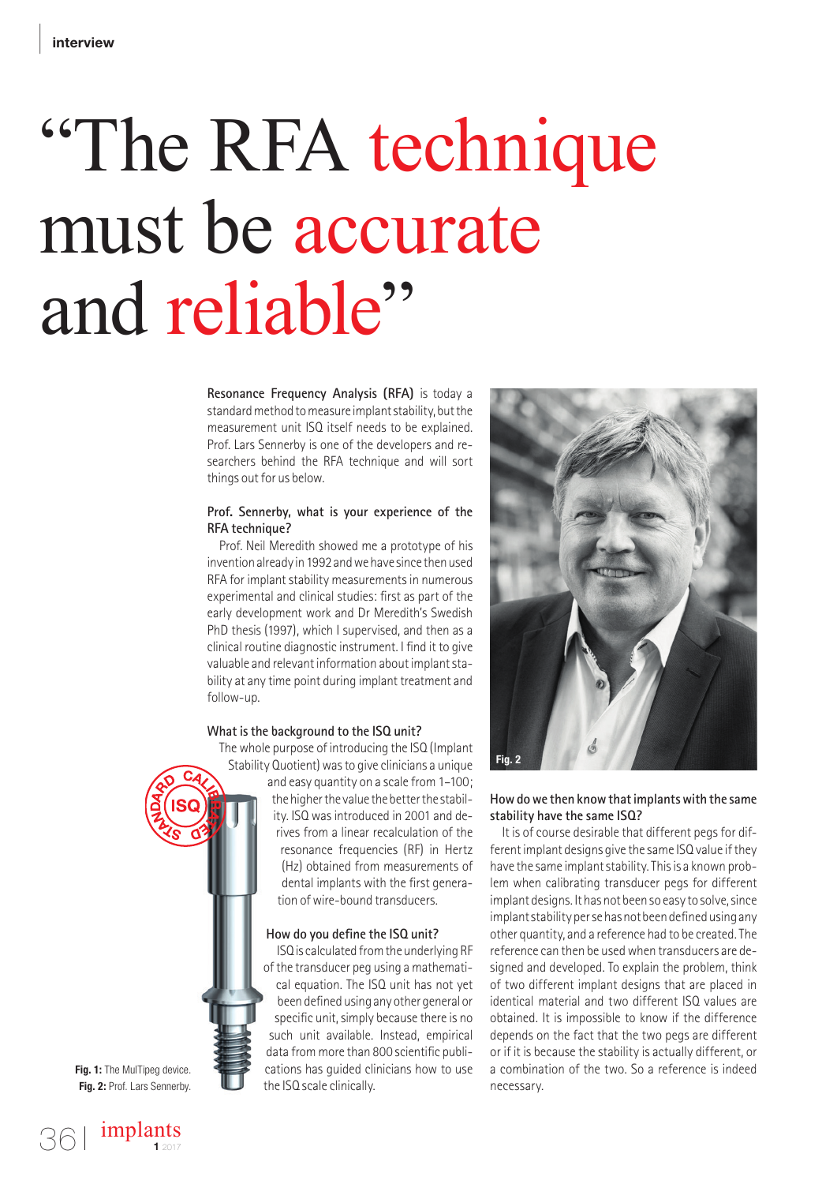# "The RFA technique must be accurate and reliable"

**Resonance Frequency Analysis (RFA)** is today a standard method to measure implant stability, but the measurement unit ISQ itself needs to be explained. Prof. Lars Sennerby is one of the developers and researchers behind the RFA technique and will sort things out for us below.

#### **Prof. Sennerby, what is your experience of the RFA technique?**

Prof. Neil Meredith showed me a prototype of his invention already in 1992 and we have since then used RFA for implant stability measurements in numerous experimental and clinical studies: first as part of the early development work and Dr Meredith's Swedish PhD thesis (1997), which I supervised, and then as a clinical routine diagnostic instrument. I find it to give valuable and relevant information about implant stability at any time point during implant treatment and follow-up.

#### **What is the background to the ISQ unit?**

The whole purpose of introducing the ISQ (Implant Stability Quotient) was to give clinicians a unique and easy quantity on a scale from 1–100; the higher the value the better the stability. ISQ was introduced in 2001 and derives from a linear recalculation of the resonance frequencies (RF) in Hertz (Hz) obtained from measurements of dental implants with the first generation of wire-bound transducers.

#### **How do you define the ISQ unit?**

ISQ is calculated from the underlying RF of the transducer peg using a mathematical equation. The ISQ unit has not yet been defined using any other general or specific unit, simply because there is no such unit available. Instead, empirical data from more than 800 scientific publications has guided clinicians how to use the ISQ scale clinically.



#### **How do we then know that implants with the same stability have the same ISQ?**

It is of course desirable that different pegs for different implant designs give the same ISQ value if they have the same implant stability. This is a known problem when calibrating transducer pegs for different implant designs. It has not been so easy to solve, since implant stability per se has not been defined using any other quantity, and a reference had to be created. The reference can then be used when transducers are designed and developed. To explain the problem, think of two different implant designs that are placed in identical material and two different ISQ values are obtained. It is impossible to know if the difference depends on the fact that the two pegs are different or if it is because the stability is actually different, or a combination of the two. So a reference is indeed necessary.

**Fig. 1:** The MulTipeg device. **Fig. 2:** Prof. Lars Sennerby.